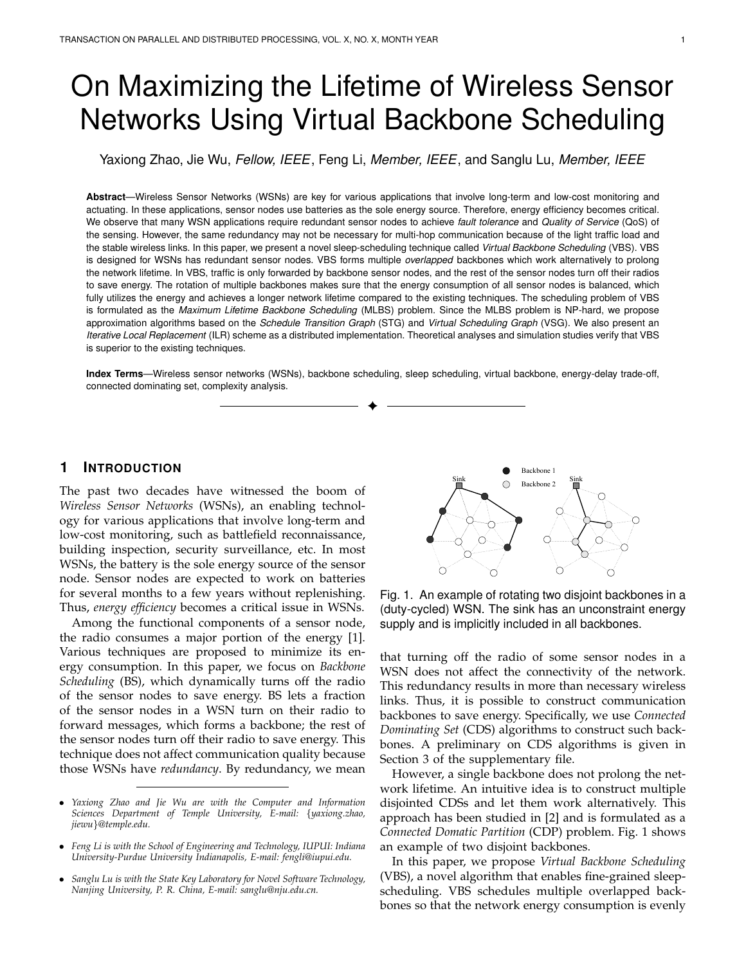# On Maximizing the Lifetime of Wireless Sensor Networks Using Virtual Backbone Scheduling

Yaxiong Zhao, Jie Wu, *Fellow, IEEE*, Feng Li, *Member, IEEE*, and Sanglu Lu, *Member, IEEE*

**Abstract**—Wireless Sensor Networks (WSNs) are key for various applications that involve long-term and low-cost monitoring and actuating. In these applications, sensor nodes use batteries as the sole energy source. Therefore, energy efficiency becomes critical. We observe that many WSN applications require redundant sensor nodes to achieve *fault tolerance* and *Quality of Service* (QoS) of the sensing. However, the same redundancy may not be necessary for multi-hop communication because of the light traffic load and the stable wireless links. In this paper, we present a novel sleep-scheduling technique called *Virtual Backbone Scheduling* (VBS). VBS is designed for WSNs has redundant sensor nodes. VBS forms multiple *overlapped* backbones which work alternatively to prolong the network lifetime. In VBS, traffic is only forwarded by backbone sensor nodes, and the rest of the sensor nodes turn off their radios to save energy. The rotation of multiple backbones makes sure that the energy consumption of all sensor nodes is balanced, which fully utilizes the energy and achieves a longer network lifetime compared to the existing techniques. The scheduling problem of VBS is formulated as the *Maximum Lifetime Backbone Scheduling* (MLBS) problem. Since the MLBS problem is NP-hard, we propose approximation algorithms based on the *Schedule Transition Graph* (STG) and *Virtual Scheduling Graph* (VSG). We also present an *Iterative Local Replacement* (ILR) scheme as a distributed implementation. Theoretical analyses and simulation studies verify that VBS is superior to the existing techniques.

**Index Terms**—Wireless sensor networks (WSNs), backbone scheduling, sleep scheduling, virtual backbone, energy-delay trade-off, connected dominating set, complexity analysis.

✦

# **1 INTRODUCTION**

The past two decades have witnessed the boom of *Wireless Sensor Networks* (WSNs), an enabling technology for various applications that involve long-term and low-cost monitoring, such as battlefield reconnaissance, building inspection, security surveillance, etc. In most WSNs, the battery is the sole energy source of the sensor node. Sensor nodes are expected to work on batteries for several months to a few years without replenishing. Thus, *energy efficiency* becomes a critical issue in WSNs.

Among the functional components of a sensor node, the radio consumes a major portion of the energy [1]. Various techniques are proposed to minimize its energy consumption. In this paper, we focus on *Backbone Scheduling* (BS), which dynamically turns off the radio of the sensor nodes to save energy. BS lets a fraction of the sensor nodes in a WSN turn on their radio to forward messages, which forms a backbone; the rest of the sensor nodes turn off their radio to save energy. This technique does not affect communication quality because those WSNs have *redundancy*. By redundancy, we mean

∙ *Yaxiong Zhao and Jie Wu are with the Computer and Information Sciences Department of Temple University, E-mail:* {*yaxiong.zhao, jiewu*}*@temple.edu.*

- ∙ *Feng Li is with the School of Engineering and Technology, IUPUI: Indiana University-Purdue University Indianapolis, E-mail: fengli@iupui.edu.*
- ∙ *Sanglu Lu is with the State Key Laboratory for Novel Software Technology, Nanjing University, P. R. China, E-mail: sanglu@nju.edu.cn.*



Fig. 1. An example of rotating two disjoint backbones in a (duty-cycled) WSN. The sink has an unconstraint energy supply and is implicitly included in all backbones.

that turning off the radio of some sensor nodes in a WSN does not affect the connectivity of the network. This redundancy results in more than necessary wireless links. Thus, it is possible to construct communication backbones to save energy. Specifically, we use *Connected Dominating Set* (CDS) algorithms to construct such backbones. A preliminary on CDS algorithms is given in Section 3 of the supplementary file.

However, a single backbone does not prolong the network lifetime. An intuitive idea is to construct multiple disjointed CDSs and let them work alternatively. This approach has been studied in [2] and is formulated as a *Connected Domatic Partition* (CDP) problem. Fig. 1 shows an example of two disjoint backbones.

In this paper, we propose *Virtual Backbone Scheduling* (VBS), a novel algorithm that enables fine-grained sleepscheduling. VBS schedules multiple overlapped backbones so that the network energy consumption is evenly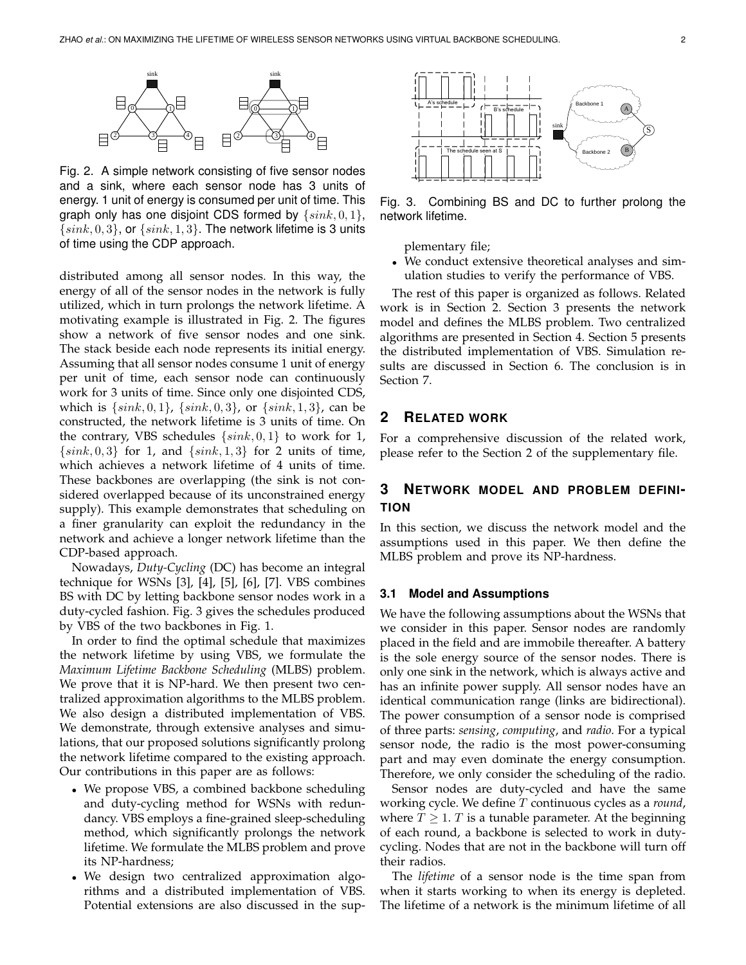

Fig. 2. A simple network consisting of five sensor nodes and a sink, where each sensor node has 3 units of energy. 1 unit of energy is consumed per unit of time. This graph only has one disjoint CDS formed by  $\{sink, 0, 1\}$ ,  $\{sink, 0, 3\}$ , or  $\{sink, 1, 3\}$ . The network lifetime is 3 units of time using the CDP approach.

distributed among all sensor nodes. In this way, the energy of all of the sensor nodes in the network is fully utilized, which in turn prolongs the network lifetime. A motivating example is illustrated in Fig. 2. The figures show a network of five sensor nodes and one sink. The stack beside each node represents its initial energy. Assuming that all sensor nodes consume 1 unit of energy per unit of time, each sensor node can continuously work for 3 units of time. Since only one disjointed CDS, which is  $\{sink, 0, 1\}$ ,  $\{sink, 0, 3\}$ , or  $\{sink, 1, 3\}$ , can be constructed, the network lifetime is 3 units of time. On the contrary, VBS schedules  $\{sink, 0, 1\}$  to work for 1,  $\{sink, 0, 3\}$  for 1, and  $\{sink, 1, 3\}$  for 2 units of time, which achieves a network lifetime of 4 units of time. These backbones are overlapping (the sink is not considered overlapped because of its unconstrained energy supply). This example demonstrates that scheduling on a finer granularity can exploit the redundancy in the network and achieve a longer network lifetime than the CDP-based approach.

Nowadays, *Duty-Cycling* (DC) has become an integral technique for WSNs [3], [4], [5], [6], [7]. VBS combines BS with DC by letting backbone sensor nodes work in a duty-cycled fashion. Fig. 3 gives the schedules produced by VBS of the two backbones in Fig. 1.

In order to find the optimal schedule that maximizes the network lifetime by using VBS, we formulate the *Maximum Lifetime Backbone Scheduling* (MLBS) problem. We prove that it is NP-hard. We then present two centralized approximation algorithms to the MLBS problem. We also design a distributed implementation of VBS. We demonstrate, through extensive analyses and simulations, that our proposed solutions significantly prolong the network lifetime compared to the existing approach. Our contributions in this paper are as follows:

- <sup>∙</sup> We propose VBS, a combined backbone scheduling and duty-cycling method for WSNs with redundancy. VBS employs a fine-grained sleep-scheduling method, which significantly prolongs the network lifetime. We formulate the MLBS problem and prove its NP-hardness;
- <sup>∙</sup> We design two centralized approximation algorithms and a distributed implementation of VBS. Potential extensions are also discussed in the sup-



Fig. 3. Combining BS and DC to further prolong the network lifetime.

plementary file;

<sup>∙</sup> We conduct extensive theoretical analyses and simulation studies to verify the performance of VBS.

The rest of this paper is organized as follows. Related work is in Section 2. Section 3 presents the network model and defines the MLBS problem. Two centralized algorithms are presented in Section 4. Section 5 presents the distributed implementation of VBS. Simulation results are discussed in Section 6. The conclusion is in Section 7.

# **2 RELATED WORK**

For a comprehensive discussion of the related work, please refer to the Section 2 of the supplementary file.

# **3 NETWORK MODEL AND PROBLEM DEFINI-TION**

In this section, we discuss the network model and the assumptions used in this paper. We then define the MLBS problem and prove its NP-hardness.

#### **3.1 Model and Assumptions**

We have the following assumptions about the WSNs that we consider in this paper. Sensor nodes are randomly placed in the field and are immobile thereafter. A battery is the sole energy source of the sensor nodes. There is only one sink in the network, which is always active and has an infinite power supply. All sensor nodes have an identical communication range (links are bidirectional). The power consumption of a sensor node is comprised of three parts: *sensing*, *computing*, and *radio*. For a typical sensor node, the radio is the most power-consuming part and may even dominate the energy consumption. Therefore, we only consider the scheduling of the radio.

Sensor nodes are duty-cycled and have the same working cycle. We define T continuous cycles as a *round*, where  $T \geq 1$ . T is a tunable parameter. At the beginning of each round, a backbone is selected to work in dutycycling. Nodes that are not in the backbone will turn off their radios.

The *lifetime* of a sensor node is the time span from when it starts working to when its energy is depleted. The lifetime of a network is the minimum lifetime of all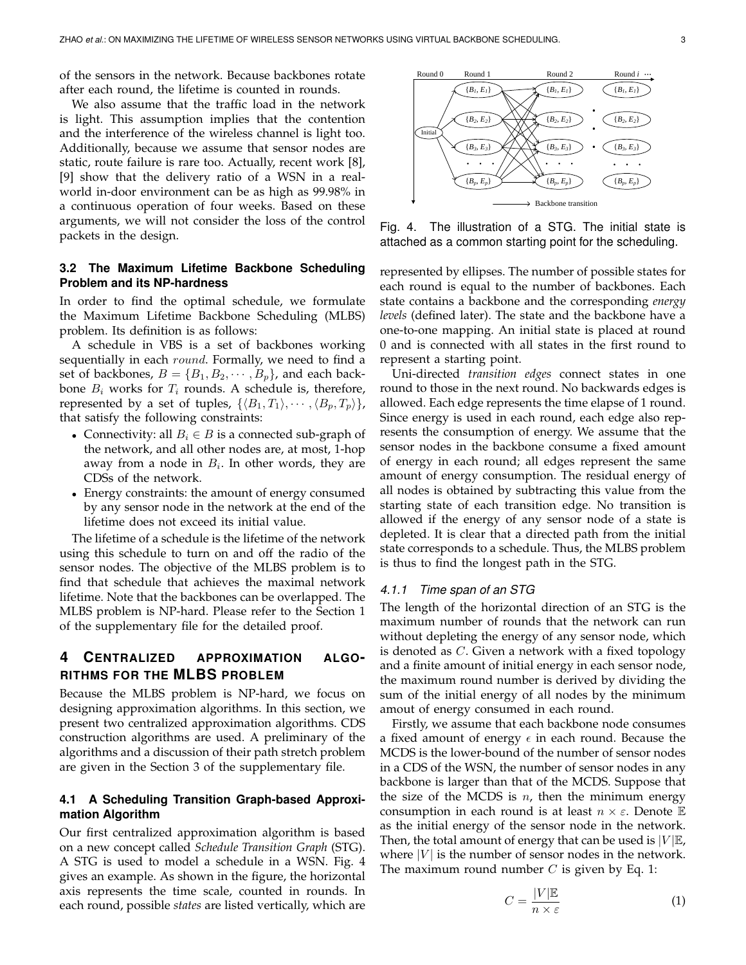of the sensors in the network. Because backbones rotate after each round, the lifetime is counted in rounds.

We also assume that the traffic load in the network is light. This assumption implies that the contention and the interference of the wireless channel is light too. Additionally, because we assume that sensor nodes are static, route failure is rare too. Actually, recent work [8], [9] show that the delivery ratio of a WSN in a realworld in-door environment can be as high as 99.98% in a continuous operation of four weeks. Based on these arguments, we will not consider the loss of the control packets in the design.

# **3.2 The Maximum Lifetime Backbone Scheduling Problem and its NP-hardness**

In order to find the optimal schedule, we formulate the Maximum Lifetime Backbone Scheduling (MLBS) problem. Its definition is as follows:

A schedule in VBS is a set of backbones working sequentially in each round. Formally, we need to find a set of backbones,  $B = \{B_1, B_2, \dots, B_p\}$ , and each backbone  $B_i$  works for  $T_i$  rounds. A schedule is, therefore, represented by a set of tuples,  $\{\langle B_1, T_1 \rangle, \cdots, \langle B_p, T_p \rangle\}$ , that satisfy the following constraints:

- Connectivity: all  $B_i \in B$  is a connected sub-graph of the network, and all other nodes are, at most, 1-hop away from a node in  $B_i$ . In other words, they are CDSs of the network.
- <sup>∙</sup> Energy constraints: the amount of energy consumed by any sensor node in the network at the end of the lifetime does not exceed its initial value.

The lifetime of a schedule is the lifetime of the network using this schedule to turn on and off the radio of the sensor nodes. The objective of the MLBS problem is to find that schedule that achieves the maximal network lifetime. Note that the backbones can be overlapped. The MLBS problem is NP-hard. Please refer to the Section 1 of the supplementary file for the detailed proof.

# **4 CENTRALIZED APPROXIMATION ALGO-RITHMS FOR THE MLBS PROBLEM**

Because the MLBS problem is NP-hard, we focus on designing approximation algorithms. In this section, we present two centralized approximation algorithms. CDS construction algorithms are used. A preliminary of the algorithms and a discussion of their path stretch problem are given in the Section 3 of the supplementary file.

## **4.1 A Scheduling Transition Graph-based Approximation Algorithm**

Our first centralized approximation algorithm is based on a new concept called *Schedule Transition Graph* (STG). A STG is used to model a schedule in a WSN. Fig. 4 gives an example. As shown in the figure, the horizontal axis represents the time scale, counted in rounds. In each round, possible *states* are listed vertically, which are



Fig. 4. The illustration of a STG. The initial state is attached as a common starting point for the scheduling.

represented by ellipses. The number of possible states for each round is equal to the number of backbones. Each state contains a backbone and the corresponding *energy levels* (defined later). The state and the backbone have a one-to-one mapping. An initial state is placed at round 0 and is connected with all states in the first round to represent a starting point.

Uni-directed *transition edges* connect states in one round to those in the next round. No backwards edges is allowed. Each edge represents the time elapse of 1 round. Since energy is used in each round, each edge also represents the consumption of energy. We assume that the sensor nodes in the backbone consume a fixed amount of energy in each round; all edges represent the same amount of energy consumption. The residual energy of all nodes is obtained by subtracting this value from the starting state of each transition edge. No transition is allowed if the energy of any sensor node of a state is depleted. It is clear that a directed path from the initial state corresponds to a schedule. Thus, the MLBS problem is thus to find the longest path in the STG.

### *4.1.1 Time span of an STG*

The length of the horizontal direction of an STG is the maximum number of rounds that the network can run without depleting the energy of any sensor node, which is denoted as  $C$ . Given a network with a fixed topology and a finite amount of initial energy in each sensor node, the maximum round number is derived by dividing the sum of the initial energy of all nodes by the minimum amout of energy consumed in each round.

Firstly, we assume that each backbone node consumes a fixed amount of energy  $\epsilon$  in each round. Because the MCDS is the lower-bound of the number of sensor nodes in a CDS of the WSN, the number of sensor nodes in any backbone is larger than that of the MCDS. Suppose that the size of the MCDS is  $n$ , then the minimum energy consumption in each round is at least  $n \times \varepsilon$ . Denote  $\mathbb E$ as the initial energy of the sensor node in the network. Then, the total amount of energy that can be used is  $|V| \mathbb{E}$ , where | $V$ | is the number of sensor nodes in the network. The maximum round number  $C$  is given by Eq. 1:

$$
C = \frac{|V|\mathbb{E}}{n \times \varepsilon} \tag{1}
$$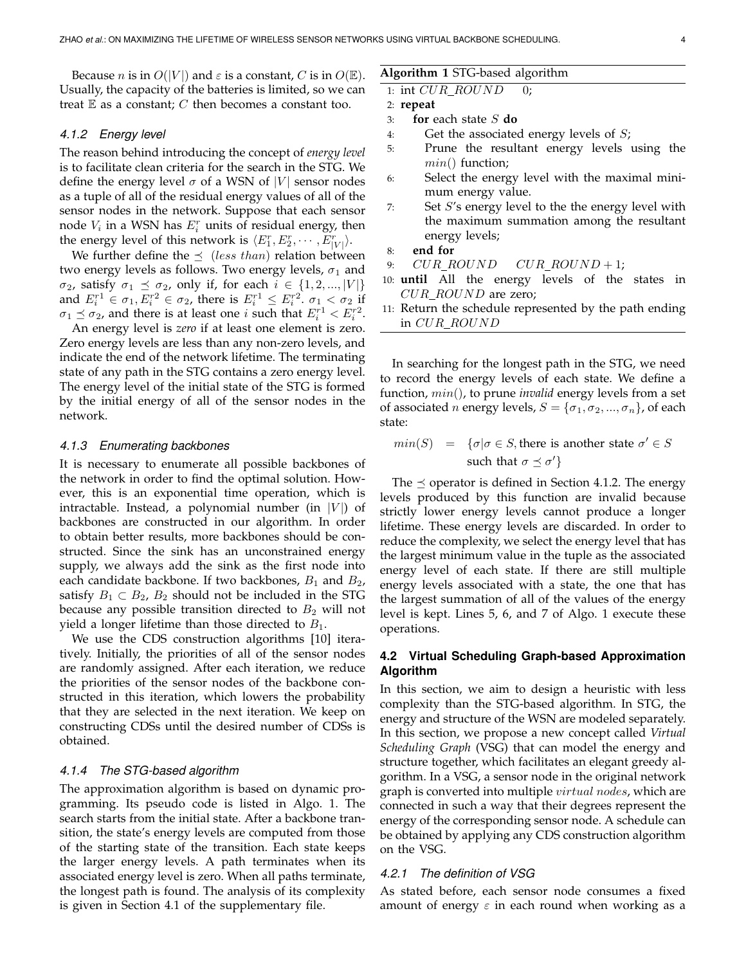Because *n* is in  $O(|V|)$  and  $\varepsilon$  is a constant, C is in  $O(\mathbb{E})$ . Usually, the capacity of the batteries is limited, so we can treat  $E$  as a constant;  $C$  then becomes a constant too.

#### *4.1.2 Energy level*

The reason behind introducing the concept of *energy level* is to facilitate clean criteria for the search in the STG. We define the energy level  $\sigma$  of a WSN of |V| sensor nodes as a tuple of all of the residual energy values of all of the sensor nodes in the network. Suppose that each sensor node  $V_i$  in a WSN has  $E_i^r$  units of residual energy, then the energy level of this network is  $\langle E_1^r, E_2^r, \cdots, E_{|V|}^r \rangle$ .

We further define the  $\preceq$  (less than) relation between two energy levels as follows. Two energy levels,  $\sigma_1$  and  $\sigma_2$ , satisfy  $\sigma_1 \preceq \sigma_2$ , only if, for each  $i \in \{1, 2, ..., |V|\}$ and  $E_i^{r_1} \in \sigma_1, E_i^{r_2} \in \sigma_2$ , there is  $E_i^{r_1} \le E_i^{r_2}$ .  $\sigma_1 < \sigma_2$  if  $\sigma_1 \preceq \sigma_2$ , and there is at least one *i* such that  $E_i^{r_1} < E_i^{r_2}$ .

An energy level is *zero* if at least one element is zero. Zero energy levels are less than any non-zero levels, and indicate the end of the network lifetime. The terminating state of any path in the STG contains a zero energy level. The energy level of the initial state of the STG is formed by the initial energy of all of the sensor nodes in the network.

#### *4.1.3 Enumerating backbones*

It is necessary to enumerate all possible backbones of the network in order to find the optimal solution. However, this is an exponential time operation, which is intractable. Instead, a polynomial number (in  $|V|$ ) of backbones are constructed in our algorithm. In order to obtain better results, more backbones should be constructed. Since the sink has an unconstrained energy supply, we always add the sink as the first node into each candidate backbone. If two backbones,  $B_1$  and  $B_2$ , satisfy  $B_1 \subset B_2$ ,  $B_2$  should not be included in the STG because any possible transition directed to  $B_2$  will not yield a longer lifetime than those directed to  $B_1$ .

We use the CDS construction algorithms [10] iteratively. Initially, the priorities of all of the sensor nodes are randomly assigned. After each iteration, we reduce the priorities of the sensor nodes of the backbone constructed in this iteration, which lowers the probability that they are selected in the next iteration. We keep on constructing CDSs until the desired number of CDSs is obtained.

#### *4.1.4 The STG-based algorithm*

The approximation algorithm is based on dynamic programming. Its pseudo code is listed in Algo. 1. The search starts from the initial state. After a backbone transition, the state's energy levels are computed from those of the starting state of the transition. Each state keeps the larger energy levels. A path terminates when its associated energy level is zero. When all paths terminate, the longest path is found. The analysis of its complexity is given in Section 4.1 of the supplementary file.

#### **Algorithm 1** STG-based algorithm

1: int  $CUR$  ROUND 0;

- 2: **repeat**
- 3: **for** each state 𝑆 **do**
- 4: Get the associated energy levels of  $S$ ;
- 5: Prune the resultant energy levels using the  $min()$  function;
- 6: Select the energy level with the maximal minimum energy value.
- $7:$  Set  $S'$ s energy level to the the energy level with the maximum summation among the resultant energy levels;
- 8: **end for**
- 9:  $CUR\_ROUND CUR\_ROUND + 1;$
- 10: **until** All the energy levels of the states in  $CUR\_ROUND$  are zero;
- 11: Return the schedule represented by the path ending in  $CUR\_ROUND$

In searching for the longest path in the STG, we need to record the energy levels of each state. We define a function,  $min()$ , to prune *invalid* energy levels from a set of associated *n* energy levels,  $S = {\sigma_1, \sigma_2, ..., \sigma_n}$ , of each state:

 $min(S) = {\sigma | \sigma \in S}$ , there is another state  $\sigma' \in S$ such that  $\sigma \preceq \sigma'$ }

The  $\preceq$  operator is defined in Section 4.1.2. The energy levels produced by this function are invalid because strictly lower energy levels cannot produce a longer lifetime. These energy levels are discarded. In order to reduce the complexity, we select the energy level that has the largest minimum value in the tuple as the associated energy level of each state. If there are still multiple energy levels associated with a state, the one that has the largest summation of all of the values of the energy level is kept. Lines 5, 6, and 7 of Algo. 1 execute these operations.

# **4.2 Virtual Scheduling Graph-based Approximation Algorithm**

In this section, we aim to design a heuristic with less complexity than the STG-based algorithm. In STG, the energy and structure of the WSN are modeled separately. In this section, we propose a new concept called *Virtual Scheduling Graph* (VSG) that can model the energy and structure together, which facilitates an elegant greedy algorithm. In a VSG, a sensor node in the original network graph is converted into multiple  $virtual\ nodes$ , which are connected in such a way that their degrees represent the energy of the corresponding sensor node. A schedule can be obtained by applying any CDS construction algorithm on the VSG.

#### *4.2.1 The definition of VSG*

As stated before, each sensor node consumes a fixed amount of energy  $\varepsilon$  in each round when working as a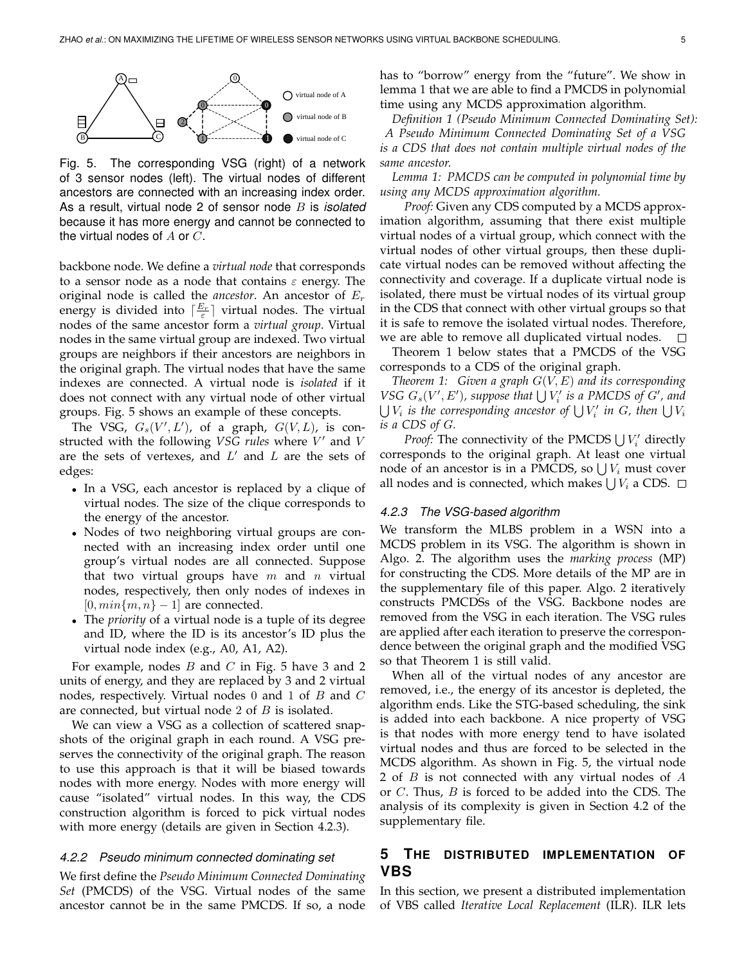

Fig. 5. The corresponding VSG (right) of a network of 3 sensor nodes (left). The virtual nodes of different ancestors are connected with an increasing index order. As a result, virtual node 2 of sensor node B is *isolated* because it has more energy and cannot be connected to the virtual nodes of  $A$  or  $C$ .

backbone node. We define a *virtual node* that corresponds to a sensor node as a node that contains  $\varepsilon$  energy. The original node is called the *ancestor*. An ancestor of  $E_r$ energy is divided into  $\lceil \frac{E_r}{\varepsilon} \rceil$  virtual nodes. The virtual nodes of the same ancestor form a *virtual group*. Virtual nodes in the same virtual group are indexed. Two virtual groups are neighbors if their ancestors are neighbors in the original graph. The virtual nodes that have the same indexes are connected. A virtual node is *isolated* if it does not connect with any virtual node of other virtual groups. Fig. 5 shows an example of these concepts.

The VSG,  $G_s(V', L')$ , of a graph,  $G(V, L)$ , is constructed with the following *VSG rules* where V' and V are the sets of vertexes, and  $L'$  and  $L$  are the sets of edges:

- <sup>∙</sup> In a VSG, each ancestor is replaced by a clique of virtual nodes. The size of the clique corresponds to the energy of the ancestor.
- <sup>∙</sup> Nodes of two neighboring virtual groups are connected with an increasing index order until one group's virtual nodes are all connected. Suppose that two virtual groups have  $m$  and  $n$  virtual nodes, respectively, then only nodes of indexes in  $[0, min\{m, n\} - 1]$  are connected.
- <sup>∙</sup> The *priority* of a virtual node is a tuple of its degree and ID, where the ID is its ancestor's ID plus the virtual node index (e.g., A0, A1, A2).

For example, nodes  $B$  and  $C$  in Fig. 5 have 3 and 2 units of energy, and they are replaced by 3 and 2 virtual nodes, respectively. Virtual nodes  $0$  and  $1$  of  $B$  and  $C$ are connected, but virtual node 2 of  $B$  is isolated.

We can view a VSG as a collection of scattered snapshots of the original graph in each round. A VSG preserves the connectivity of the original graph. The reason to use this approach is that it will be biased towards nodes with more energy. Nodes with more energy will cause "isolated" virtual nodes. In this way, the CDS construction algorithm is forced to pick virtual nodes with more energy (details are given in Section 4.2.3).

#### *4.2.2 Pseudo minimum connected dominating set*

We first define the *Pseudo Minimum Connected Dominating Set* (PMCDS) of the VSG. Virtual nodes of the same ancestor cannot be in the same PMCDS. If so, a node has to "borrow" energy from the "future". We show in lemma 1 that we are able to find a PMCDS in polynomial time using any MCDS approximation algorithm.

*Definition 1 (Pseudo Minimum Connected Dominating Set): A Pseudo Minimum Connected Dominating Set of a VSG is a CDS that does not contain multiple virtual nodes of the same ancestor.*

*Lemma 1: PMCDS can be computed in polynomial time by using any MCDS approximation algorithm.*

*Proof:* Given any CDS computed by a MCDS approximation algorithm, assuming that there exist multiple virtual nodes of a virtual group, which connect with the virtual nodes of other virtual groups, then these duplicate virtual nodes can be removed without affecting the connectivity and coverage. If a duplicate virtual node is isolated, there must be virtual nodes of its virtual group in the CDS that connect with other virtual groups so that it is safe to remove the isolated virtual nodes. Therefore, we are able to remove all duplicated virtual nodes.  $\Box$ 

Theorem 1 below states that a PMCDS of the VSG corresponds to a CDS of the original graph.

*Theorem 1: Given a graph*  $G(V, E)$  *and its corresponding VSG*  $G_s(V', E')$ , suppose that  $\bigcup V'_i$  is a PMCDS of G', and UV; is a PMCDS of G', and *i*<sub>S</sub>(*v*, *E*), suppose that ∪*v*<sub>i</sub> is a PNICDS of G, and  $V_i$  is the corresponding ancestor of ∪*V*<sub>i</sub> in *G*, then ∪*V*<sub>i</sub> *is a CDS of G.* 

*CDS of G.*<br>*Proof:* The connectivity of the PMCDS ∪  $V_i'$  directly corresponds to the original graph. At least one virtual corresponds to the original graph. At least one virtual<br>node of an ancestor is in a PMCDS, so  $\bigcup V_i$  must cover hode of an ancestor is in a PMCD<sub>2</sub>, so  $\bigcup v_i$  must conder and is connected, which makes  $\bigcup V_i$  a CDS.

#### *4.2.3 The VSG-based algorithm*

We transform the MLBS problem in a WSN into a MCDS problem in its VSG. The algorithm is shown in Algo. 2. The algorithm uses the *marking process* (MP) for constructing the CDS. More details of the MP are in the supplementary file of this paper. Algo. 2 iteratively constructs PMCDSs of the VSG. Backbone nodes are removed from the VSG in each iteration. The VSG rules are applied after each iteration to preserve the correspondence between the original graph and the modified VSG so that Theorem 1 is still valid.

When all of the virtual nodes of any ancestor are removed, i.e., the energy of its ancestor is depleted, the algorithm ends. Like the STG-based scheduling, the sink is added into each backbone. A nice property of VSG is that nodes with more energy tend to have isolated virtual nodes and thus are forced to be selected in the MCDS algorithm. As shown in Fig. 5, the virtual node 2 of  $B$  is not connected with any virtual nodes of  $A$ or  $C$ . Thus,  $B$  is forced to be added into the CDS. The analysis of its complexity is given in Section 4.2 of the supplementary file.

# **5 THE DISTRIBUTED IMPLEMENTATION OF VBS**

In this section, we present a distributed implementation of VBS called *Iterative Local Replacement* (ILR). ILR lets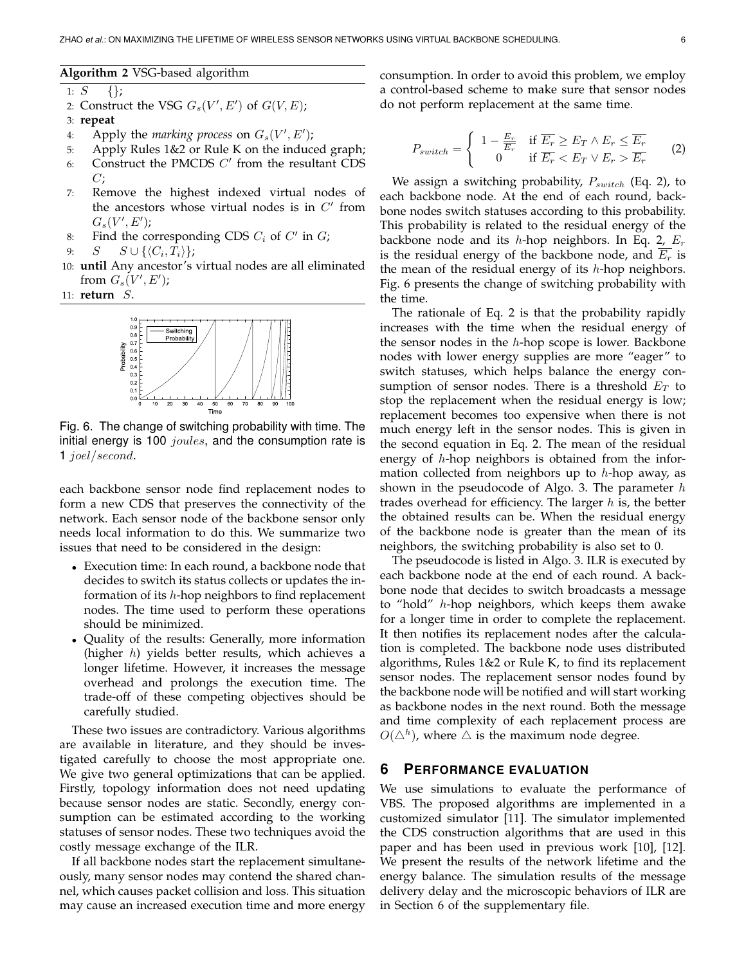#### **Algorithm 2** VSG-based algorithm

- 1:  $S = \{\};$
- 2: Construct the VSG  $G_s(V', E')$  of  $G(V, E)$ ;
- 3: **repeat**
- 4: Apply the *marking process* on  $G_s(V', E')$ ;
- 5: Apply Rules 1&2 or Rule K on the induced graph;
- 6: Construct the PMCDS  $C'$  from the resultant CDS  $C$ ;
- 7: Remove the highest indexed virtual nodes of the ancestors whose virtual nodes is in  $C'$  from  $G_s(V', E')$ ;
- 8: Find the corresponding CDS  $C_i$  of  $C'$  in  $G$ ;
- 9:  $S$   $S \cup \{\langle C_i, T_i\rangle\}$ ;
- 10: **until** Any ancestor's virtual nodes are all eliminated from  $G_s(V^\prime,E^\prime)$ ;

11: **return** *S*.



Fig. 6. The change of switching probability with time. The initial energy is 100  $joules$ , and the consumption rate is 1  $j$ oel/second.

each backbone sensor node find replacement nodes to form a new CDS that preserves the connectivity of the network. Each sensor node of the backbone sensor only needs local information to do this. We summarize two issues that need to be considered in the design:

- <sup>∙</sup> Execution time: In each round, a backbone node that decides to switch its status collects or updates the information of its  $h$ -hop neighbors to find replacement nodes. The time used to perform these operations should be minimized.
- <sup>∙</sup> Quality of the results: Generally, more information (higher  $h$ ) yields better results, which achieves a longer lifetime. However, it increases the message overhead and prolongs the execution time. The trade-off of these competing objectives should be carefully studied.

These two issues are contradictory. Various algorithms are available in literature, and they should be investigated carefully to choose the most appropriate one. We give two general optimizations that can be applied. Firstly, topology information does not need updating because sensor nodes are static. Secondly, energy consumption can be estimated according to the working statuses of sensor nodes. These two techniques avoid the costly message exchange of the ILR.

If all backbone nodes start the replacement simultaneously, many sensor nodes may contend the shared channel, which causes packet collision and loss. This situation may cause an increased execution time and more energy

consumption. In order to avoid this problem, we employ a control-based scheme to make sure that sensor nodes do not perform replacement at the same time.

$$
P_{switch} = \begin{cases} 1 - \frac{E_r}{E_r} & \text{if } \overline{E_r} \ge E_T \wedge E_r \le \overline{E_r} \\ 0 & \text{if } \overline{E_r} < E_T \vee E_r > \overline{E_r} \end{cases} \tag{2}
$$

We assign a switching probability,  $P_{switch}$  (Eq. 2), to each backbone node. At the end of each round, backbone nodes switch statuses according to this probability. This probability is related to the residual energy of the backbone node and its h-hop neighbors. In Eq. 2,  $E_r$ is the residual energy of the backbone node, and  $\overline{E_r}$  is the mean of the residual energy of its  $h$ -hop neighbors. Fig. 6 presents the change of switching probability with the time.

The rationale of Eq. 2 is that the probability rapidly increases with the time when the residual energy of the sensor nodes in the  $h$ -hop scope is lower. Backbone nodes with lower energy supplies are more "eager" to switch statuses, which helps balance the energy consumption of sensor nodes. There is a threshold  $E_T$  to stop the replacement when the residual energy is low; replacement becomes too expensive when there is not much energy left in the sensor nodes. This is given in the second equation in Eq. 2. The mean of the residual energy of  $h$ -hop neighbors is obtained from the information collected from neighbors up to  $h$ -hop away, as shown in the pseudocode of Algo. 3. The parameter  $$ trades overhead for efficiency. The larger  $h$  is, the better the obtained results can be. When the residual energy of the backbone node is greater than the mean of its neighbors, the switching probability is also set to 0.

The pseudocode is listed in Algo. 3. ILR is executed by each backbone node at the end of each round. A backbone node that decides to switch broadcasts a message to "hold" *h*-hop neighbors, which keeps them awake for a longer time in order to complete the replacement. It then notifies its replacement nodes after the calculation is completed. The backbone node uses distributed algorithms, Rules 1&2 or Rule K, to find its replacement sensor nodes. The replacement sensor nodes found by the backbone node will be notified and will start working as backbone nodes in the next round. Both the message and time complexity of each replacement process are  $O(\Delta^h)$ , where  $\Delta$  is the maximum node degree.

# **6 PERFORMANCE EVALUATION**

We use simulations to evaluate the performance of VBS. The proposed algorithms are implemented in a customized simulator [11]. The simulator implemented the CDS construction algorithms that are used in this paper and has been used in previous work [10], [12]. We present the results of the network lifetime and the energy balance. The simulation results of the message delivery delay and the microscopic behaviors of ILR are in Section 6 of the supplementary file.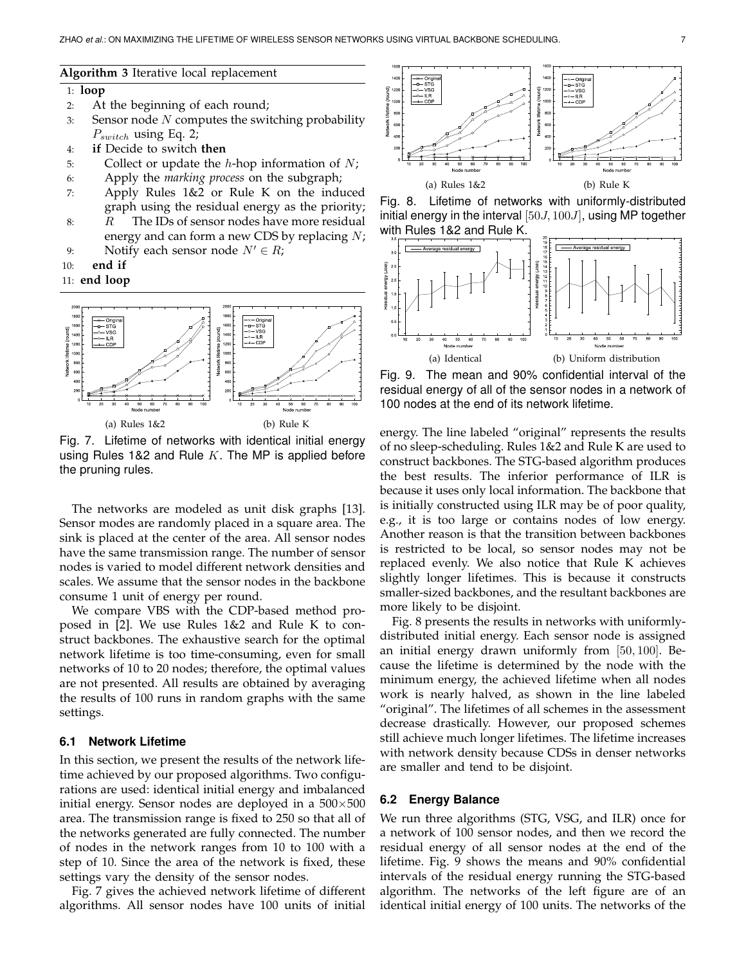#### **Algorithm 3** Iterative local replacement

#### 1: **loop**

- 2: At the beginning of each round;
- 3: Sensor node  $N$  computes the switching probability  $P_{switch}$  using Eq. 2;
- 4: **if** Decide to switch **then**
- 5: Collect or update the  $h$ -hop information of  $N$ ;
- 6: Apply the *marking process* on the subgraph;
- 7: Apply Rules 1&2 or Rule K on the induced graph using the residual energy as the priority;
- 8:  $R$  The IDs of sensor nodes have more residual energy and can form a new CDS by replacing  $N$ ;
- 9: Notify each sensor node  $N' \in R$ ;
- 10: **end if**
- 11: **end loop**



Fig. 7. Lifetime of networks with identical initial energy using Rules 1&2 and Rule  $K$ . The MP is applied before the pruning rules.

The networks are modeled as unit disk graphs [13]. Sensor modes are randomly placed in a square area. The sink is placed at the center of the area. All sensor nodes have the same transmission range. The number of sensor nodes is varied to model different network densities and scales. We assume that the sensor nodes in the backbone consume 1 unit of energy per round.

We compare VBS with the CDP-based method proposed in [2]. We use Rules 1&2 and Rule K to construct backbones. The exhaustive search for the optimal network lifetime is too time-consuming, even for small networks of 10 to 20 nodes; therefore, the optimal values are not presented. All results are obtained by averaging the results of 100 runs in random graphs with the same settings.

#### **6.1 Network Lifetime**

In this section, we present the results of the network lifetime achieved by our proposed algorithms. Two configurations are used: identical initial energy and imbalanced initial energy. Sensor nodes are deployed in a  $500\times500$ area. The transmission range is fixed to 250 so that all of the networks generated are fully connected. The number of nodes in the network ranges from 10 to 100 with a step of 10. Since the area of the network is fixed, these settings vary the density of the sensor nodes.

Fig. 7 gives the achieved network lifetime of different algorithms. All sensor nodes have 100 units of initial



Fig. 8. Lifetime of networks with uniformly-distributed initial energy in the interval  $[50J, 100J]$ , using MP together with Rules 1&2 and Rule K.



Fig. 9. The mean and 90% confidential interval of the residual energy of all of the sensor nodes in a network of 100 nodes at the end of its network lifetime.

energy. The line labeled "original" represents the results of no sleep-scheduling. Rules 1&2 and Rule K are used to construct backbones. The STG-based algorithm produces the best results. The inferior performance of ILR is because it uses only local information. The backbone that is initially constructed using ILR may be of poor quality, e.g., it is too large or contains nodes of low energy. Another reason is that the transition between backbones is restricted to be local, so sensor nodes may not be replaced evenly. We also notice that Rule K achieves slightly longer lifetimes. This is because it constructs smaller-sized backbones, and the resultant backbones are more likely to be disjoint.

Fig. 8 presents the results in networks with uniformlydistributed initial energy. Each sensor node is assigned an initial energy drawn uniformly from [50, 100]. Because the lifetime is determined by the node with the minimum energy, the achieved lifetime when all nodes work is nearly halved, as shown in the line labeled "original". The lifetimes of all schemes in the assessment decrease drastically. However, our proposed schemes still achieve much longer lifetimes. The lifetime increases with network density because CDSs in denser networks are smaller and tend to be disjoint.

#### **6.2 Energy Balance**

We run three algorithms (STG, VSG, and ILR) once for a network of 100 sensor nodes, and then we record the residual energy of all sensor nodes at the end of the lifetime. Fig. 9 shows the means and 90% confidential intervals of the residual energy running the STG-based algorithm. The networks of the left figure are of an identical initial energy of 100 units. The networks of the